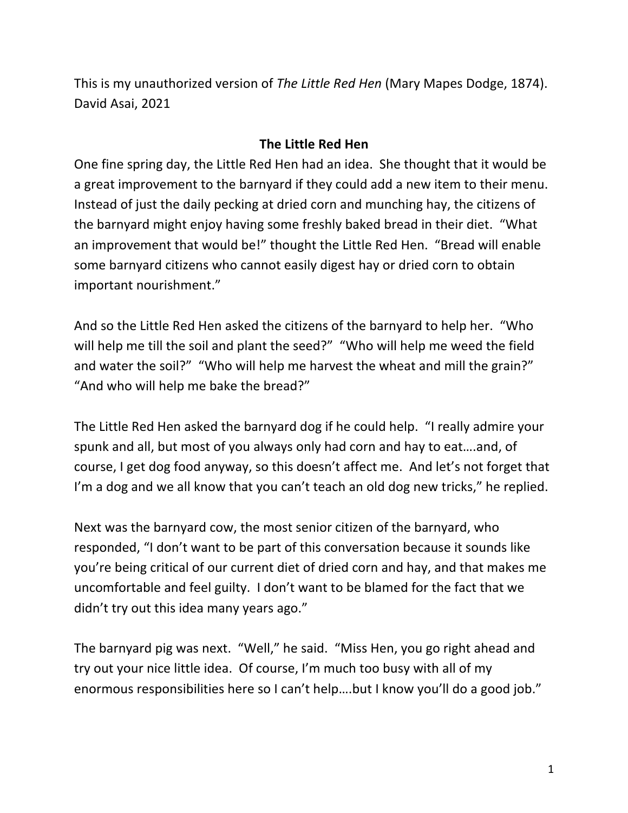This is my unauthorized version of *The Little Red Hen* (Mary Mapes Dodge, 1874). David Asai, 2021

## **The Little Red Hen**

One fine spring day, the Little Red Hen had an idea. She thought that it would be a great improvement to the barnyard if they could add a new item to their menu. Instead of just the daily pecking at dried corn and munching hay, the citizens of the barnyard might enjoy having some freshly baked bread in their diet. "What an improvement that would be!" thought the Little Red Hen. "Bread will enable some barnyard citizens who cannot easily digest hay or dried corn to obtain important nourishment."

And so the Little Red Hen asked the citizens of the barnyard to help her. "Who will help me till the soil and plant the seed?" "Who will help me weed the field and water the soil?" "Who will help me harvest the wheat and mill the grain?" "And who will help me bake the bread?"

The Little Red Hen asked the barnyard dog if he could help. "I really admire your spunk and all, but most of you always only had corn and hay to eat….and, of course, I get dog food anyway, so this doesn't affect me. And let's not forget that I'm a dog and we all know that you can't teach an old dog new tricks," he replied.

Next was the barnyard cow, the most senior citizen of the barnyard, who responded, "I don't want to be part of this conversation because it sounds like you're being critical of our current diet of dried corn and hay, and that makes me uncomfortable and feel guilty. I don't want to be blamed for the fact that we didn't try out this idea many years ago."

The barnyard pig was next. "Well," he said. "Miss Hen, you go right ahead and try out your nice little idea. Of course, I'm much too busy with all of my enormous responsibilities here so I can't help….but I know you'll do a good job."